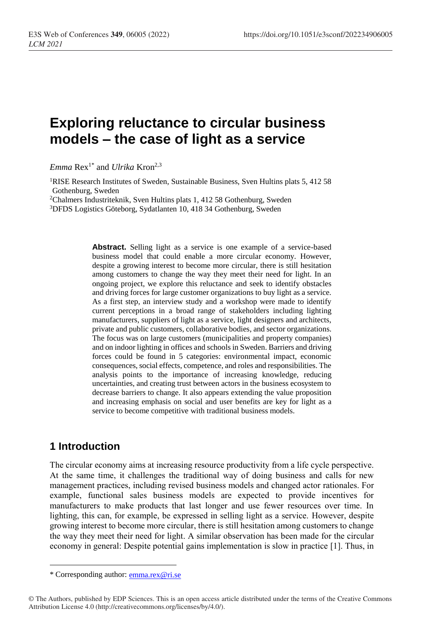# **Exploring reluctance to circular business models – the case of light as a service**

*Emma* Rex<sup>1\*</sup> and *Ulrika* Kron<sup>2,3</sup>

<sup>1</sup>RISE Research Institutes of Sweden, Sustainable Business, Sven Hultins plats 5, 412 58 Gothenburg, Sweden

<sup>2</sup>Chalmers Industriteknik, Sven Hultins plats 1, 412 58 Gothenburg, Sweden <sup>3</sup>DFDS Logistics Göteborg, Sydatlanten 10, 418 34 Gothenburg, Sweden

> **Abstract.** Selling light as a service is one example of a service-based business model that could enable a more circular economy. However, despite a growing interest to become more circular, there is still hesitation among customers to change the way they meet their need for light. In an ongoing project, we explore this reluctance and seek to identify obstacles and driving forces for large customer organizations to buy light as a service. As a first step, an interview study and a workshop were made to identify current perceptions in a broad range of stakeholders including lighting manufacturers, suppliers of light as a service, light designers and architects, private and public customers, collaborative bodies, and sector organizations. The focus was on large customers (municipalities and property companies) and on indoor lighting in offices and schools in Sweden. Barriers and driving forces could be found in 5 categories: environmental impact, economic consequences, social effects, competence, and roles and responsibilities. The analysis points to the importance of increasing knowledge, reducing uncertainties, and creating trust between actors in the business ecosystem to decrease barriers to change. It also appears extending the value proposition and increasing emphasis on social and user benefits are key for light as a service to become competitive with traditional business models.

### **1 Introduction**

 $\overline{a}$ 

The circular economy aims at increasing resource productivity from a life cycle perspective. At the same time, it challenges the traditional way of doing business and calls for new management practices, including revised business models and changed actor rationales. For example, functional sales business models are expected to provide incentives for manufacturers to make products that last longer and use fewer resources over time. In lighting, this can, for example, be expressed in selling light as a service. However, despite growing interest to become more circular, there is still hesitation among customers to change the way they meet their need for light. A similar observation has been made for the circular economy in general: Despite potential gains implementation is slow in practice [1]. Thus, in

<sup>\*</sup> Corresponding author: [emma.rex@ri.se](mailto:emma.rex@ri.se)

<sup>©</sup> The Authors, published by EDP Sciences. This is an open access article distributed under the terms of the Creative Commons Attribution License 4.0 (http://creativecommons.org/licenses/by/4.0/).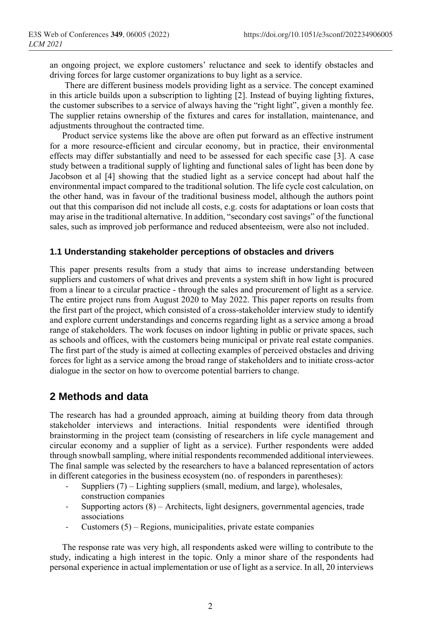an ongoing project, we explore customers' reluctance and seek to identify obstacles and driving forces for large customer organizations to buy light as a service.

There are different business models providing light as a service. The concept examined in this article builds upon a subscription to lighting [2]. Instead of buying lighting fixtures, the customer subscribes to a service of always having the "right light", given a monthly fee. The supplier retains ownership of the fixtures and cares for installation, maintenance, and adjustments throughout the contracted time.

Product service systems like the above are often put forward as an effective instrument for a more resource-efficient and circular economy, but in practice, their environmental effects may differ substantially and need to be assessed for each specific case [3]. A case study between a traditional supply of lighting and functional sales of light has been done by Jacobson et al [4] showing that the studied light as a service concept had about half the environmental impact compared to the traditional solution. The life cycle cost calculation, on the other hand, was in favour of the traditional business model, although the authors point out that this comparison did not include all costs, e.g. costs for adaptations or loan costs that may arise in the traditional alternative. In addition, "secondary cost savings" of the functional sales, such as improved job performance and reduced absenteeism, were also not included.

#### **1.1 Understanding stakeholder perceptions of obstacles and drivers**

This paper presents results from a study that aims to increase understanding between suppliers and customers of what drives and prevents a system shift in how light is procured from a linear to a circular practice - through the sales and procurement of light as a service. The entire project runs from August 2020 to May 2022. This paper reports on results from the first part of the project, which consisted of a cross-stakeholder interview study to identify and explore current understandings and concerns regarding light as a service among a broad range of stakeholders. The work focuses on indoor lighting in public or private spaces, such as schools and offices, with the customers being municipal or private real estate companies. The first part of the study is aimed at collecting examples of perceived obstacles and driving forces for light as a service among the broad range of stakeholders and to initiate cross-actor dialogue in the sector on how to overcome potential barriers to change.

#### **2 Methods and data**

The research has had a grounded approach, aiming at building theory from data through stakeholder interviews and interactions. Initial respondents were identified through brainstorming in the project team (consisting of researchers in life cycle management and circular economy and a supplier of light as a service). Further respondents were added through snowball sampling, where initial respondents recommended additional interviewees. The final sample was selected by the researchers to have a balanced representation of actors in different categories in the business ecosystem (no. of responders in parentheses):

- Suppliers  $(7)$  Lighting suppliers (small, medium, and large), wholesales, construction companies
- Supporting actors  $(8)$  Architects, light designers, governmental agencies, trade associations
- Customers  $(5)$  Regions, municipalities, private estate companies

The response rate was very high, all respondents asked were willing to contribute to the study, indicating a high interest in the topic. Only a minor share of the respondents had personal experience in actual implementation or use of light as a service. In all, 20 interviews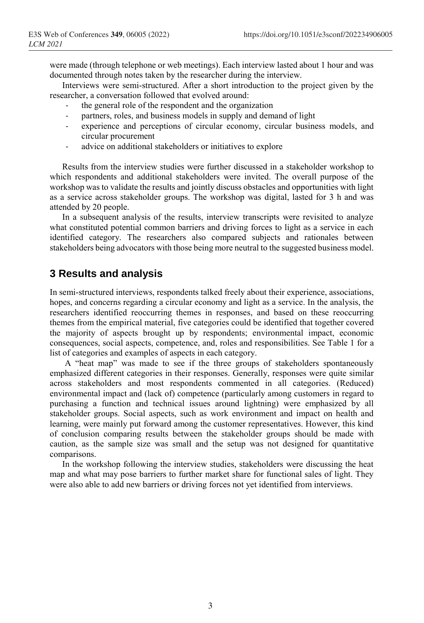were made (through telephone or web meetings). Each interview lasted about 1 hour and was documented through notes taken by the researcher during the interview.

Interviews were semi-structured. After a short introduction to the project given by the researcher, a conversation followed that evolved around:

- the general role of the respondent and the organization
- partners, roles, and business models in supply and demand of light
- experience and perceptions of circular economy, circular business models, and circular procurement
- advice on additional stakeholders or initiatives to explore

Results from the interview studies were further discussed in a stakeholder workshop to which respondents and additional stakeholders were invited. The overall purpose of the workshop was to validate the results and jointly discuss obstacles and opportunities with light as a service across stakeholder groups. The workshop was digital, lasted for 3 h and was attended by 20 people.

In a subsequent analysis of the results, interview transcripts were revisited to analyze what constituted potential common barriers and driving forces to light as a service in each identified category. The researchers also compared subjects and rationales between stakeholders being advocators with those being more neutral to the suggested business model.

### **3 Results and analysis**

In semi-structured interviews, respondents talked freely about their experience, associations, hopes, and concerns regarding a circular economy and light as a service. In the analysis, the researchers identified reoccurring themes in responses, and based on these reoccurring themes from the empirical material, five categories could be identified that together covered the majority of aspects brought up by respondents; environmental impact, economic consequences, social aspects, competence, and, roles and responsibilities. See Table 1 for a list of categories and examples of aspects in each category.

A "heat map" was made to see if the three groups of stakeholders spontaneously emphasized different categories in their responses. Generally, responses were quite similar across stakeholders and most respondents commented in all categories. (Reduced) environmental impact and (lack of) competence (particularly among customers in regard to purchasing a function and technical issues around lightning) were emphasized by all stakeholder groups. Social aspects, such as work environment and impact on health and learning, were mainly put forward among the customer representatives. However, this kind of conclusion comparing results between the stakeholder groups should be made with caution, as the sample size was small and the setup was not designed for quantitative comparisons.

In the workshop following the interview studies, stakeholders were discussing the heat map and what may pose barriers to further market share for functional sales of light. They were also able to add new barriers or driving forces not yet identified from interviews.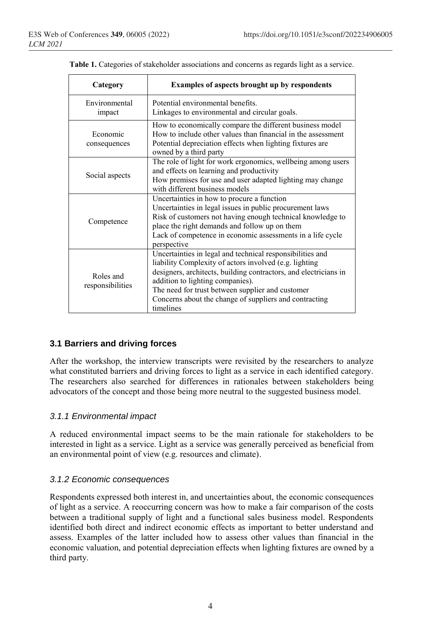| Category                      | <b>Examples of aspects brought up by respondents</b>                                                                                                                                                                                                                                                                                                   |  |  |  |  |
|-------------------------------|--------------------------------------------------------------------------------------------------------------------------------------------------------------------------------------------------------------------------------------------------------------------------------------------------------------------------------------------------------|--|--|--|--|
| Environmental<br>impact       | Potential environmental benefits.<br>Linkages to environmental and circular goals.                                                                                                                                                                                                                                                                     |  |  |  |  |
| Economic<br>consequences      | How to economically compare the different business model<br>How to include other values than financial in the assessment<br>Potential depreciation effects when lighting fixtures are<br>owned by a third party                                                                                                                                        |  |  |  |  |
| Social aspects                | The role of light for work ergonomics, wellbeing among users<br>and effects on learning and productivity<br>How premises for use and user adapted lighting may change<br>with different business models                                                                                                                                                |  |  |  |  |
| Competence                    | Uncertainties in how to procure a function<br>Uncertainties in legal issues in public procurement laws<br>Risk of customers not having enough technical knowledge to<br>place the right demands and follow up on them<br>Lack of competence in economic assessments in a life cycle<br>perspective                                                     |  |  |  |  |
| Roles and<br>responsibilities | Uncertainties in legal and technical responsibilities and<br>liability Complexity of actors involved (e.g. lighting<br>designers, architects, building contractors, and electricians in<br>addition to lighting companies).<br>The need for trust between supplier and customer<br>Concerns about the change of suppliers and contracting<br>timelines |  |  |  |  |

|  | Table 1. Categories of stakeholder associations and concerns as regards light as a service. |  |  |
|--|---------------------------------------------------------------------------------------------|--|--|
|  |                                                                                             |  |  |

#### **3.1 Barriers and driving forces**

After the workshop, the interview transcripts were revisited by the researchers to analyze what constituted barriers and driving forces to light as a service in each identified category. The researchers also searched for differences in rationales between stakeholders being advocators of the concept and those being more neutral to the suggested business model.

#### *3.1.1 Environmental impact*

A reduced environmental impact seems to be the main rationale for stakeholders to be interested in light as a service. Light as a service was generally perceived as beneficial from an environmental point of view (e.g. resources and climate).

#### *3.1.2 Economic consequences*

Respondents expressed both interest in, and uncertainties about, the economic consequences of light as a service. A reoccurring concern was how to make a fair comparison of the costs between a traditional supply of light and a functional sales business model. Respondents identified both direct and indirect economic effects as important to better understand and assess. Examples of the latter included how to assess other values than financial in the economic valuation, and potential depreciation effects when lighting fixtures are owned by a third party.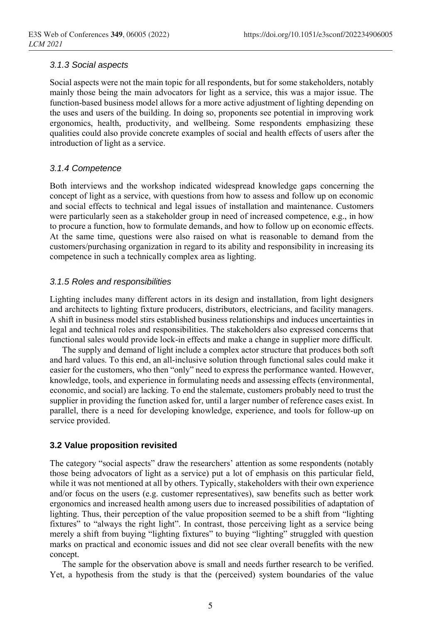#### *3.1.3 Social aspects*

Social aspects were not the main topic for all respondents, but for some stakeholders, notably mainly those being the main advocators for light as a service, this was a major issue. The function-based business model allows for a more active adjustment of lighting depending on the uses and users of the building. In doing so, proponents see potential in improving work ergonomics, health, productivity, and wellbeing. Some respondents emphasizing these qualities could also provide concrete examples of social and health effects of users after the introduction of light as a service.

#### *3.1.4 Competence*

Both interviews and the workshop indicated widespread knowledge gaps concerning the concept of light as a service, with questions from how to assess and follow up on economic and social effects to technical and legal issues of installation and maintenance. Customers were particularly seen as a stakeholder group in need of increased competence, e.g., in how to procure a function, how to formulate demands, and how to follow up on economic effects. At the same time, questions were also raised on what is reasonable to demand from the customers/purchasing organization in regard to its ability and responsibility in increasing its competence in such a technically complex area as lighting.

#### *3.1.5 Roles and responsibilities*

Lighting includes many different actors in its design and installation, from light designers and architects to lighting fixture producers, distributors, electricians, and facility managers. A shift in business model stirs established business relationships and induces uncertainties in legal and technical roles and responsibilities. The stakeholders also expressed concerns that functional sales would provide lock-in effects and make a change in supplier more difficult.

The supply and demand of light include a complex actor structure that produces both soft and hard values. To this end, an all-inclusive solution through functional sales could make it easier for the customers, who then "only" need to express the performance wanted. However, knowledge, tools, and experience in formulating needs and assessing effects (environmental, economic, and social) are lacking. To end the stalemate, customers probably need to trust the supplier in providing the function asked for, until a larger number of reference cases exist. In parallel, there is a need for developing knowledge, experience, and tools for follow-up on service provided.

#### **3.2 Value proposition revisited**

The category "social aspects" draw the researchers' attention as some respondents (notably those being advocators of light as a service) put a lot of emphasis on this particular field, while it was not mentioned at all by others. Typically, stakeholders with their own experience and/or focus on the users (e.g. customer representatives), saw benefits such as better work ergonomics and increased health among users due to increased possibilities of adaptation of lighting. Thus, their perception of the value proposition seemed to be a shift from "lighting fixtures" to "always the right light". In contrast, those perceiving light as a service being merely a shift from buying "lighting fixtures" to buying "lighting" struggled with question marks on practical and economic issues and did not see clear overall benefits with the new concept.

The sample for the observation above is small and needs further research to be verified. Yet, a hypothesis from the study is that the (perceived) system boundaries of the value